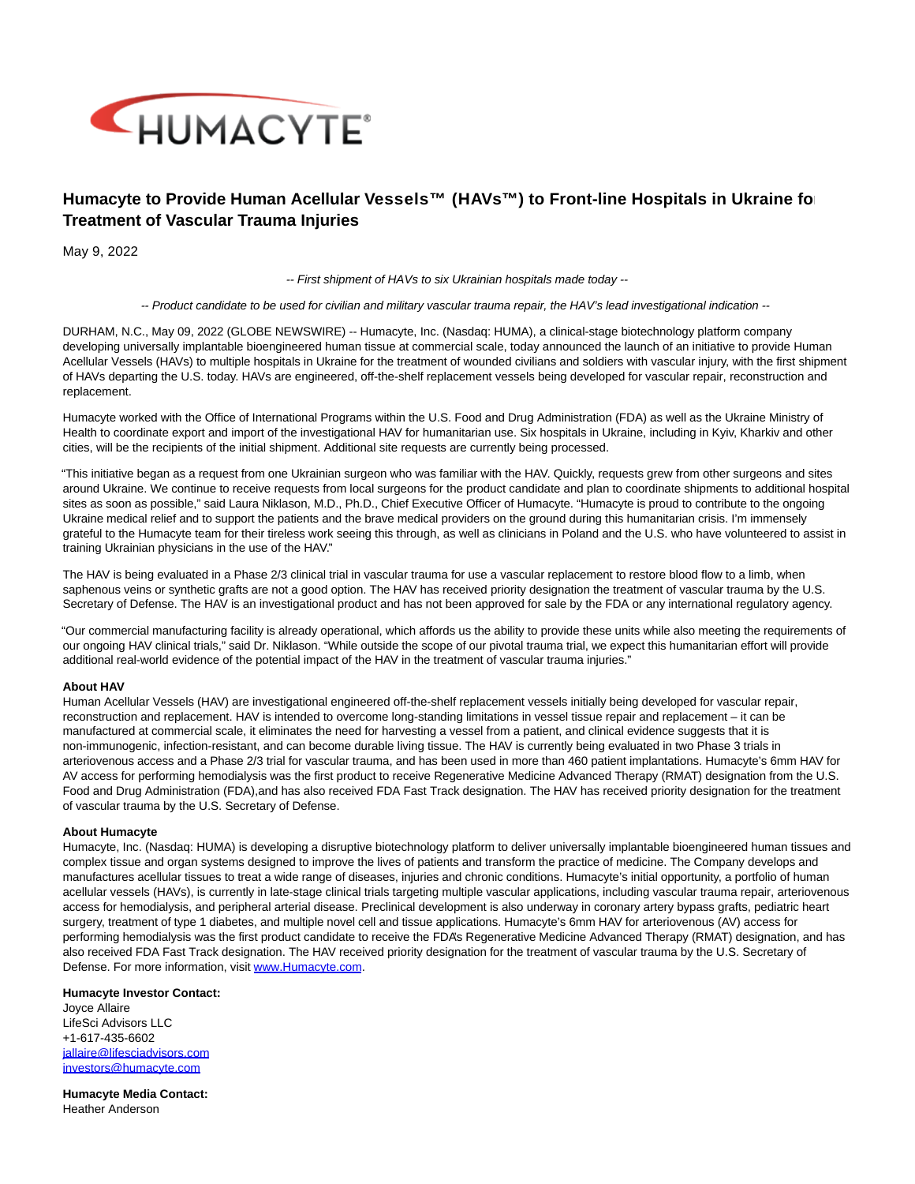

## **Humacyte to Provide Human Acellular Vessels™ (HAVs™) to Front-line Hospitals in Ukraine for Treatment of Vascular Trauma Injuries**

May 9, 2022

-- First shipment of HAVs to six Ukrainian hospitals made today --

-- Product candidate to be used for civilian and military vascular trauma repair, the HAV's lead investigational indication --

DURHAM, N.C., May 09, 2022 (GLOBE NEWSWIRE) -- Humacyte, Inc. (Nasdaq: HUMA), a clinical-stage biotechnology platform company developing universally implantable bioengineered human tissue at commercial scale, today announced the launch of an initiative to provide Human Acellular Vessels (HAVs) to multiple hospitals in Ukraine for the treatment of wounded civilians and soldiers with vascular injury, with the first shipment of HAVs departing the U.S. today. HAVs are engineered, off-the-shelf replacement vessels being developed for vascular repair, reconstruction and replacement.

Humacyte worked with the Office of International Programs within the U.S. Food and Drug Administration (FDA) as well as the Ukraine Ministry of Health to coordinate export and import of the investigational HAV for humanitarian use. Six hospitals in Ukraine, including in Kyiv, Kharkiv and other cities, will be the recipients of the initial shipment. Additional site requests are currently being processed.

"This initiative began as a request from one Ukrainian surgeon who was familiar with the HAV. Quickly, requests grew from other surgeons and sites around Ukraine. We continue to receive requests from local surgeons for the product candidate and plan to coordinate shipments to additional hospital sites as soon as possible," said Laura Niklason, M.D., Ph.D., Chief Executive Officer of Humacyte. "Humacyte is proud to contribute to the ongoing Ukraine medical relief and to support the patients and the brave medical providers on the ground during this humanitarian crisis. I'm immensely grateful to the Humacyte team for their tireless work seeing this through, as well as clinicians in Poland and the U.S. who have volunteered to assist in training Ukrainian physicians in the use of the HAV."

The HAV is being evaluated in a Phase 2/3 clinical trial in vascular trauma for use a vascular replacement to restore blood flow to a limb, when saphenous veins or synthetic grafts are not a good option. The HAV has received priority designation the treatment of vascular trauma by the U.S. Secretary of Defense. The HAV is an investigational product and has not been approved for sale by the FDA or any international regulatory agency.

"Our commercial manufacturing facility is already operational, which affords us the ability to provide these units while also meeting the requirements of our ongoing HAV clinical trials," said Dr. Niklason. "While outside the scope of our pivotal trauma trial, we expect this humanitarian effort will provide additional real-world evidence of the potential impact of the HAV in the treatment of vascular trauma injuries."

## **About HAV**

Human Acellular Vessels (HAV) are investigational engineered off-the-shelf replacement vessels initially being developed for vascular repair, reconstruction and replacement. HAV is intended to overcome long-standing limitations in vessel tissue repair and replacement – it can be manufactured at commercial scale, it eliminates the need for harvesting a vessel from a patient, and clinical evidence suggests that it is non-immunogenic, infection-resistant, and can become durable living tissue. The HAV is currently being evaluated in two Phase 3 trials in arteriovenous access and a Phase 2/3 trial for vascular trauma, and has been used in more than 460 patient implantations. Humacyte's 6mm HAV for AV access for performing hemodialysis was the first product to receive Regenerative Medicine Advanced Therapy (RMAT) designation from the U.S. Food and Drug Administration (FDA),and has also received FDA Fast Track designation. The HAV has received priority designation for the treatment of vascular trauma by the U.S. Secretary of Defense.

## **About Humacyte**

Humacyte, Inc. (Nasdaq: HUMA) is developing a disruptive biotechnology platform to deliver universally implantable bioengineered human tissues and complex tissue and organ systems designed to improve the lives of patients and transform the practice of medicine. The Company develops and manufactures acellular tissues to treat a wide range of diseases, injuries and chronic conditions. Humacyte's initial opportunity, a portfolio of human acellular vessels (HAVs), is currently in late-stage clinical trials targeting multiple vascular applications, including vascular trauma repair, arteriovenous access for hemodialysis, and peripheral arterial disease. Preclinical development is also underway in coronary artery bypass grafts, pediatric heart surgery, treatment of type 1 diabetes, and multiple novel cell and tissue applications. Humacyte's 6mm HAV for arteriovenous (AV) access for performing hemodialysis was the first product candidate to receive the FDA's Regenerative Medicine Advanced Therapy (RMAT) designation, and has also received FDA Fast Track designation. The HAV received priority designation for the treatment of vascular trauma by the U.S. Secretary of Defense. For more information, visit [www.Humacyte.com.](https://www.globenewswire.com/Tracker?data=xR4DBg52WtBWPeOAja4lmcWPW-QgWOMGFpGyIJqhyZZMkSz7tVoEYA1aB2W55EIVYPtZVVAAszmSkC2AX22c_ydzUtKv5r5btC-87AnviJaOVtyr4Yl86XYra0R-LTYXOyIP9ouMaf8pLUy5ddOC2HJw5tSaDpLPz79bk5aTxWcvlXBa2XdM8fu8Mf6NV1m7vVsaboBeRGs15lZw5miFxkW9MQ748Zky1B3r2xEAD9INKnI1kbyYaymMyWp8u_EccFbyY--cdD2jlfg-A1qNJ9p6mCLM1_6WanOdab_ePrb8a3-0wgJyRcBV402ajl-A7omLIIIqpyOU70nnwpvmQBuYagC7QCwvaCvNttUGiNWQX3EwgChTHq0Gpbb81YZ6wj9Hk5nXYV41N1nx7-IpyKlE_g4LEhmSOVXlLVj2Cok=)

## **Humacyte Investor Contact:**

Joyce Allaire LifeSci Advisors LLC +1-617-435-6602 [jallaire@lifesciadvisors.com](https://www.globenewswire.com/Tracker?data=PxQzA_dcRJ5zk8AGFo3e5HnTsYH057x4I9YQSG1ioRjpF1BcL7ApjK8DmiC8YG-KdzzuvQ1wn_1QHL1wpfPgSk3CRaGbnvkLGTGeg6GCGsgUUdxTbBF0NIkA9iFoE32p) [investors@humacyte.com](https://www.globenewswire.com/Tracker?data=1C4ZGeWxUEL4x24rl853W_TpUAgoxQACSVCXEN1HD8g83zFR5mA_eewHNyykSlbG2yUbj-eIHmMN79XQozG1MUKXRYj7VizVlkfZ1mmLdxE=)

**Humacyte Media Contact:** Heather Anderson